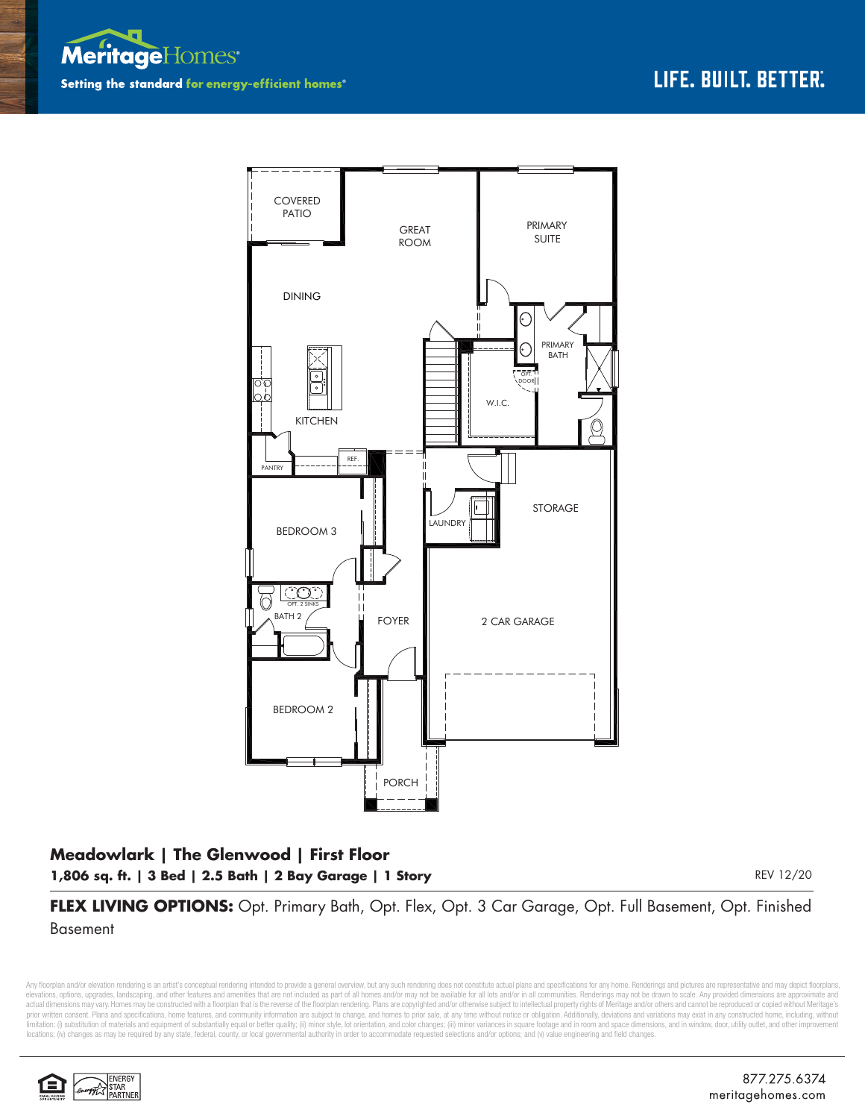



## **Meadowlark | The Glenwood | First Floor 1,806 sq. ft. | 3 Bed | 2.5 Bath | 2 Bay Garage | 1 Story** REV 12/20 REV 12/20

**FLEX LIVING OPTIONS:** Opt. Primary Bath, Opt. Flex, Opt. 3 Car Garage, Opt. Full Basement, Opt. Finished Basement

Any floorplan and/or elevation rendering is an artist's conceptual rendering intended to provide a general overview, but any such rendering does not constitute actual plans and specifications for any home. Renderings and p elevations, options, upgrades, landscaping, and other features and amenities that are not included as part of all homes and/or may not be available for all lots and/or in all communities. Renderings may not be drawn to sca limitation: (i) substitution of materials and equipment of substantially equal or better quality; (ii) minor style, lot orientation, and color changes; (iii) minor variances in square footage and in room and space dimensio locations; (iv) changes as may be required by any state, federal, county, or local governmental authority in order to accommodate requested selections and/or options; and (v) value engineering and field changes.

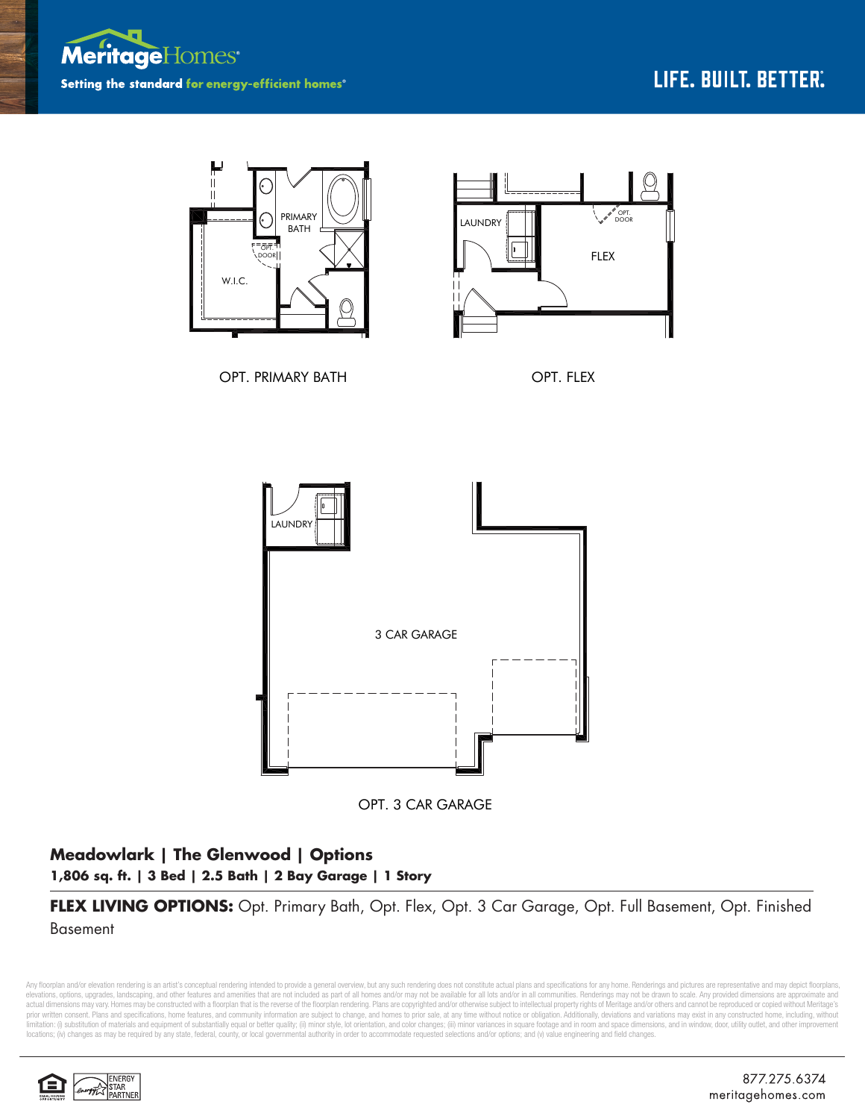



OPT. 3 CAR GARAGE

## **Meadowlark | The Glenwood | Options 1,806 sq. ft. | 3 Bed | 2.5 Bath | 2 Bay Garage | 1 Story**

**FLEX LIVING OPTIONS:** Opt. Primary Bath, Opt. Flex, Opt. 3 Car Garage, Opt. Full Basement, Opt. Finished Basement

Any floorplan and/or elevation rendering is an artist's conceptual rendering intended to provide a general overview, but any such rendering does not constitute actual plans and specifications for any home. Renderings and p elevations, options, upgrades, landscaping, and other features and amenities that are not included as part of all homes and/or may not be available for all lots and/or in all communities. Renderings may not be drawn to sca limitation: (i) substitution of materials and equipment of substantially equal or better quality; (ii) minor style, lot orientation, and color changes; (iii) minor variances in square footage and in room and space dimensio locations; (iv) changes as may be required by any state, federal, county, or local governmental authority in order to accommodate requested selections and/or options; and (v) value engineering and field changes.